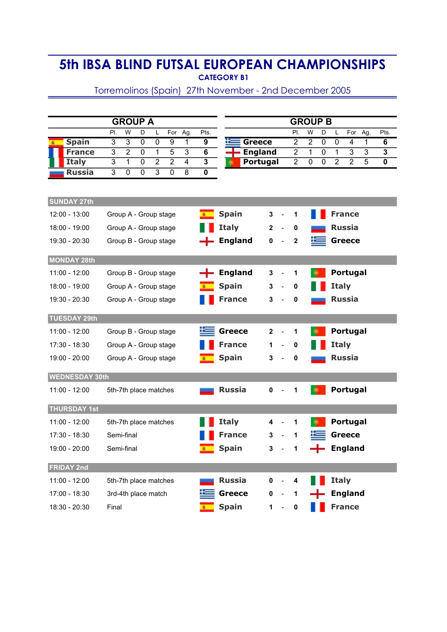## 5th IBSA BLIND FUTSAL EUROPEAN CHAMPIONSHIPS CATEGORY B1

Torremolinos (Spain) 27th November - 2nd December 2005

| <b>GROUP A</b>        |  |                |                |                       |                |                |                |                         |                | <b>GROUP B</b> |              |                          |                |                |                |                |                |                |                         |
|-----------------------|--|----------------|----------------|-----------------------|----------------|----------------|----------------|-------------------------|----------------|----------------|--------------|--------------------------|----------------|----------------|----------------|----------------|----------------|----------------|-------------------------|
|                       |  | PI.            | W              | D                     | Г              | For            | Ag.            | Pts.                    |                |                |              |                          | PI.            | W              | D              | L              | For            | Ag.            | Pts.                    |
| <b>Spain</b>          |  | $\overline{3}$ | $\overline{3}$ | $\mathbf 0$           | $\mathbf 0$    | 9              | $\mathbf{1}$   | 9                       | ×              | <b>Greece</b>  |              |                          | $\overline{2}$ | $\overline{2}$ | $\overline{0}$ | $\mathbf 0$    | $\overline{4}$ | 1              | 6                       |
| <b>France</b>         |  | 3              | $\overline{2}$ | $\mathbf 0$           | 1              | 5              | 3              | 6                       |                | <b>England</b> |              |                          | $\overline{c}$ | 1              | $\mathbf 0$    | 1              | 3              | 3              | 3                       |
| <b>Italy</b>          |  | $\overline{3}$ | $\overline{1}$ | $\overline{0}$        | $\overline{2}$ | $\overline{2}$ | $\overline{4}$ | $\overline{\mathbf{3}}$ |                | Portugal       |              |                          | $\overline{2}$ | 0              | 0              | $\overline{2}$ | $\overline{2}$ | $\overline{5}$ | $\overline{\mathbf{0}}$ |
| <b>Russia</b>         |  | $\overline{3}$ | 0              | 0                     | $\overline{3}$ | $\mathbf 0$    | $\overline{8}$ | 0                       |                |                |              |                          |                |                |                |                |                |                |                         |
|                       |  |                |                |                       |                |                |                |                         |                |                |              |                          |                |                |                |                |                |                |                         |
| <b>SUNDAY 27th</b>    |  |                |                |                       |                |                |                |                         |                |                |              |                          |                |                |                |                |                |                |                         |
| 12:00 - 13:00         |  |                |                | Group A - Group stage |                |                |                |                         | <b>Spain</b>   |                | 3            |                          | 1              |                |                |                | <b>France</b>  |                |                         |
| 18:00 - 19:00         |  |                |                | Group A - Group stage |                |                |                |                         | <b>Italy</b>   |                | $\mathbf{2}$ |                          | 0              |                |                |                | <b>Russia</b>  |                |                         |
| 19:30 - 20:30         |  |                |                | Group B - Group stage |                |                |                |                         | <b>England</b> |                | 0            |                          | $\mathbf 2$    |                |                |                | <b>Greece</b>  |                |                         |
| <b>MONDAY 28th</b>    |  |                |                |                       |                |                |                |                         |                |                |              |                          |                |                |                |                |                |                |                         |
| $11:00 - 12:00$       |  |                |                | Group B - Group stage |                |                |                |                         | <b>England</b> |                | 3            |                          | 1              |                |                |                | Portugal       |                |                         |
| 18:00 - 19:00         |  |                |                | Group A - Group stage |                |                |                |                         | <b>Spain</b>   |                | 3            |                          | 0              |                |                | <b>Italy</b>   |                |                |                         |
| 19:30 - 20:30         |  |                |                | Group A - Group stage |                |                |                |                         | <b>France</b>  |                | 3            |                          | 0              |                |                |                | <b>Russia</b>  |                |                         |
| <b>TUESDAY 29th</b>   |  |                |                |                       |                |                |                |                         |                |                |              |                          |                |                |                |                |                |                |                         |
| $11:00 - 12:00$       |  |                |                | Group B - Group stage |                |                |                |                         | <b>Greece</b>  |                | $\mathbf{2}$ |                          | 1              |                |                |                | Portugal       |                |                         |
| 17:30 - 18:30         |  |                |                | Group A - Group stage |                |                |                |                         | <b>France</b>  |                | 1            |                          | 0              |                |                | <b>Italy</b>   |                |                |                         |
| 19:00 - 20:00         |  |                |                | Group A - Group stage |                |                |                |                         | <b>Spain</b>   |                | 3            |                          | 0              |                |                |                | <b>Russia</b>  |                |                         |
|                       |  |                |                |                       |                |                |                |                         |                |                |              |                          |                |                |                |                |                |                |                         |
| <b>WEDNESDAY 30th</b> |  |                |                |                       |                |                |                |                         |                |                |              |                          |                |                |                |                |                |                |                         |
| $11:00 - 12:00$       |  |                |                | 5th-7th place matches |                |                |                |                         | <b>Russia</b>  |                | $\mathbf 0$  |                          | 1              |                |                |                | Portugal       |                |                         |
| <b>THURSDAY 1st</b>   |  |                |                |                       |                |                |                |                         |                |                |              |                          |                |                |                |                |                |                |                         |
| $11:00 - 12:00$       |  |                |                | 5th-7th place matches |                |                |                |                         | <b>Italy</b>   |                | 4            |                          | 1              |                |                |                | Portugal       |                |                         |
| 17:30 - 18:30         |  |                | Semi-final     |                       |                |                |                |                         | <b>France</b>  |                | 3            |                          | 1              |                |                |                | <b>Greece</b>  |                |                         |
| 19:00 - 20:00         |  |                | Semi-final     |                       |                |                |                |                         | <b>Spain</b>   |                | 3            |                          | 1              |                |                |                | <b>England</b> |                |                         |
| <b>FRIDAY 2nd</b>     |  |                |                |                       |                |                |                |                         |                |                |              |                          |                |                |                |                |                |                |                         |
| 11:00 - 12:00         |  |                |                | 5th-7th place matches |                |                |                |                         | <b>Russia</b>  |                | $\mathbf{0}$ | $\blacksquare$           | 4              |                |                | <b>Italy</b>   |                |                |                         |
| 17:00 - 18:30         |  |                |                | 3rd-4th place match   |                |                |                |                         | <b>Greece</b>  |                | $0 -$        |                          | 1              |                |                |                | <b>England</b> |                |                         |
| 18:30 - 20:30         |  | Final          |                |                       |                |                |                |                         | <b>Spain</b>   |                | $1 -$        | $\overline{\phantom{a}}$ | 0              |                |                |                | <b>France</b>  |                |                         |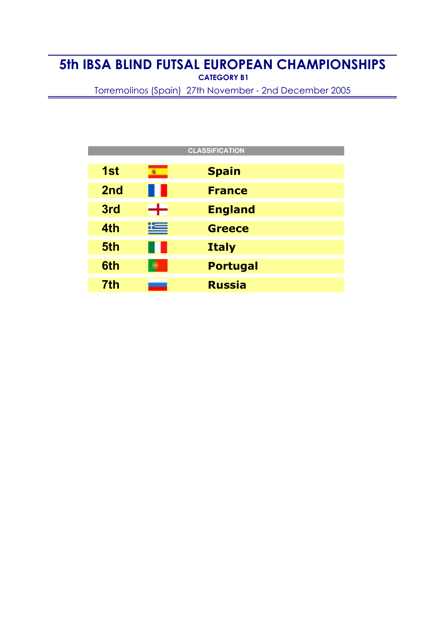## 5th IBSA BLIND FUTSAL EUROPEAN CHAMPIONSHIPS CATEGORY B1

Torremolinos (Spain) 27th November - 2nd December 2005

| <b>CLASSIFICATION</b> |          |                 |  |  |  |  |  |  |  |
|-----------------------|----------|-----------------|--|--|--|--|--|--|--|
| 1st                   | <b>R</b> | <b>Spain</b>    |  |  |  |  |  |  |  |
| 2 <sub>nd</sub>       | O I      | <b>France</b>   |  |  |  |  |  |  |  |
| 3rd                   | ╺╋┥      | <b>England</b>  |  |  |  |  |  |  |  |
| 4th                   | 兰        | <b>Greece</b>   |  |  |  |  |  |  |  |
| 5th                   | 80 F     | <b>Italy</b>    |  |  |  |  |  |  |  |
| 6th                   |          | <b>Portugal</b> |  |  |  |  |  |  |  |
| 7th                   |          | <b>Russia</b>   |  |  |  |  |  |  |  |